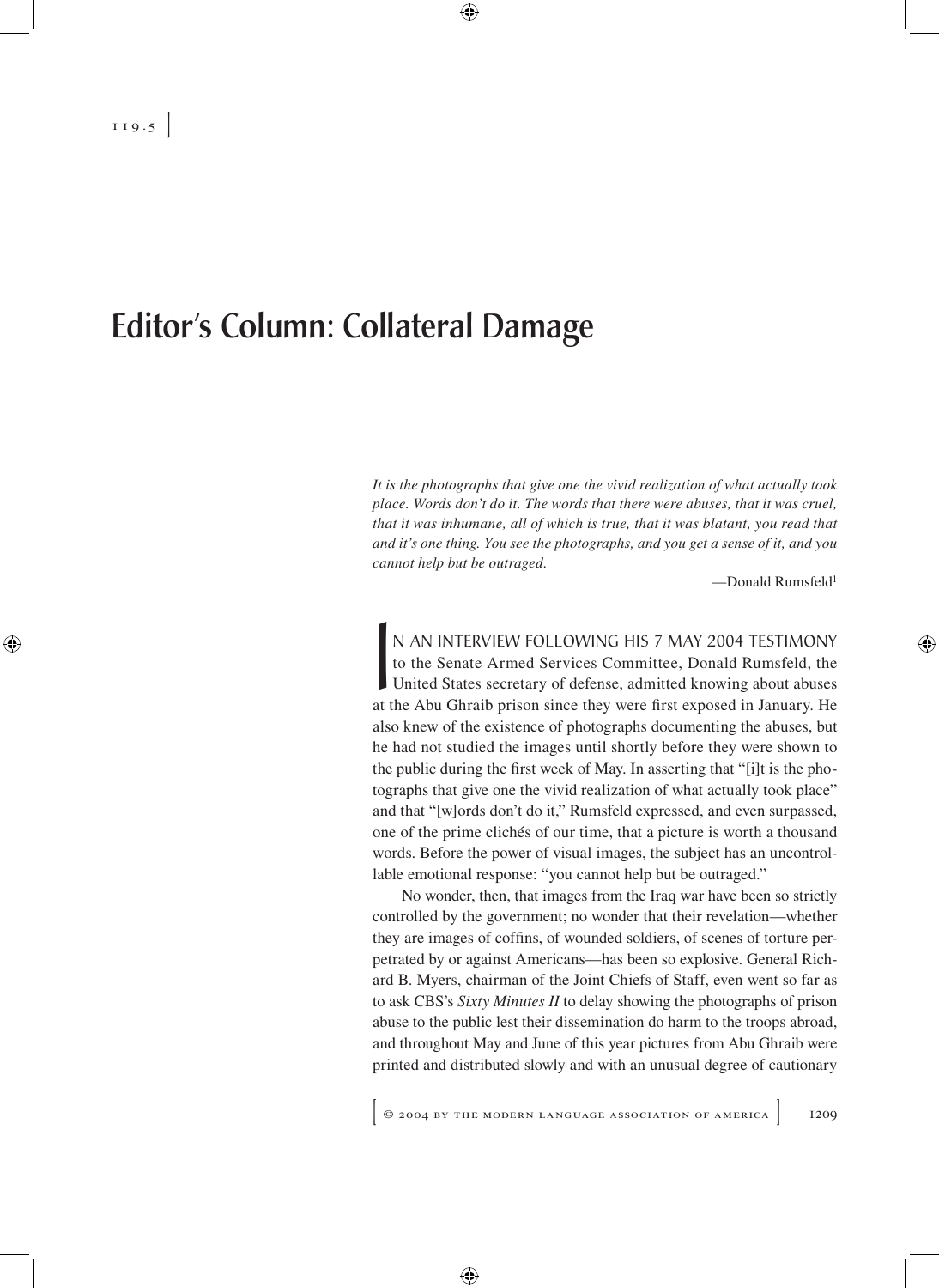## Editor's Column: Collateral Damage

*It is the photographs that give one the vivid realization of what actually took place. Words don't do it. The words that there were abuses, that it was cruel, that it was inhumane, all of which is true, that it was blatant, you read that and it's one thing. You see the photographs, and you get a sense of it, and you cannot help but be outraged.*

—Donald Rumsfeld1

N AN INTERVIEW FOLLOWING HIS 7 MAY 2004 TESTIMONY<br>to the Senate Armed Services Committee, Donald Rumsfeld, the<br>United States secretary of defense, admitted knowing about abuses<br>at the Abu Ghraib prison since they were firs to the Senate Armed Services Committee, Donald Rumsfeld, the United States secretary of defense, admitted knowing about abuses at the Abu Ghraib prison since they were first exposed in January. He also knew of the existence of photographs documenting the abuses, but he had not studied the images until shortly before they were shown to the public during the first week of May. In asserting that "[i]t is the photographs that give one the vivid realization of what actually took place" and that "[w]ords don't do it," Rumsfeld expressed, and even surpassed, one of the prime clichés of our time, that a picture is worth a thousand words. Before the power of visual images, the subject has an uncontrollable emotional response: "you cannot help but be outraged."

No wonder, then, that images from the Iraq war have been so strictly controlled by the government; no wonder that their revelation—whether they are images of coffins, of wounded soldiers, of scenes of torture perpetrated by or against Americans—has been so explosive. General Richard B. Myers, chairman of the Joint Chiefs of Staff, even went so far as to ask CBS's *Sixty Minutes II* to delay showing the photographs of prison abuse to the public lest their dissemination do harm to the troops abroad, and throughout May and June of this year pictures from Abu Ghraib were printed and distributed slowly and with an unusual degree of cautionary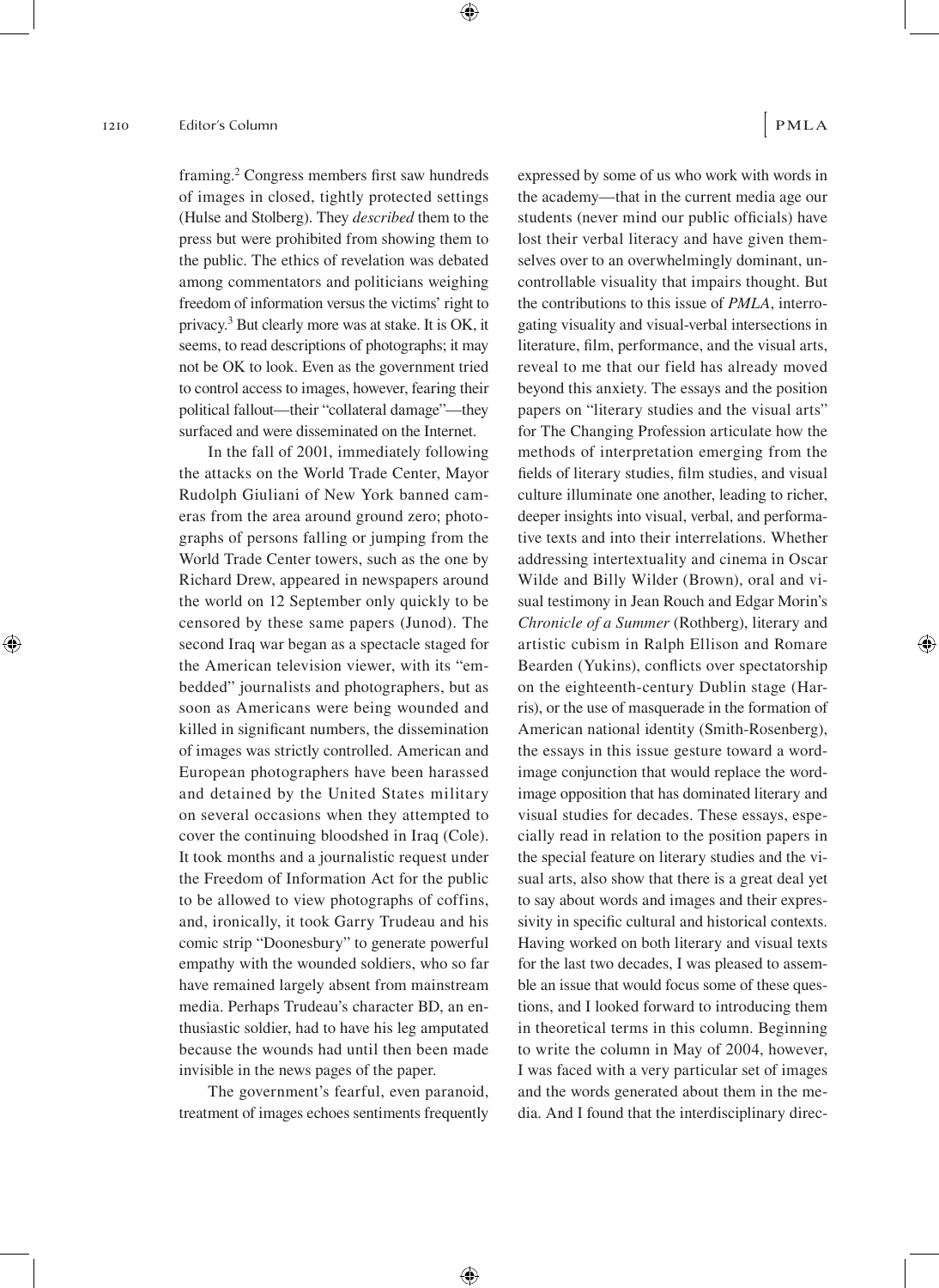framing.2 Congress members first saw hundreds of images in closed, tightly protected settings (Hulse and Stolberg). They *described* them to the press but were prohibited from showing them to the public. The ethics of revelation was debated among commentators and politicians weighing freedom of information versus the victims' right to privacy.3 But clearly more was at stake. It is OK, it seems, to read descriptions of photographs; it may not be OK to look. Even as the government tried to control access to images, however, fearing their political fallout—their "collateral damage"—they surfaced and were disseminated on the Internet.

In the fall of 2001, immediately following the attacks on the World Trade Center, Mayor Rudolph Giuliani of New York banned cameras from the area around ground zero; photographs of persons falling or jumping from the World Trade Center towers, such as the one by Richard Drew, appeared in newspapers around the world on 12 September only quickly to be censored by these same papers (Junod). The second Iraq war began as a spectacle staged for the American television viewer, with its "embedded" journalists and photographers, but as soon as Americans were being wounded and killed in significant numbers, the dissemination of images was strictly controlled. American and European photographers have been harassed and detained by the United States military on several occasions when they attempted to cover the continuing bloodshed in Iraq (Cole). It took months and a journalistic request under the Freedom of Information Act for the public to be allowed to view photographs of coffins, and, ironically, it took Garry Trudeau and his comic strip "Doonesbury" to generate powerful empathy with the wounded soldiers, who so far have remained largely absent from mainstream media. Perhaps Trudeau's character BD, an enthusiastic soldier, had to have his leg amputated because the wounds had until then been made invisible in the news pages of the paper.

The government's fearful, even paranoid, treatment of images echoes sentiments frequently

expressed by some of us who work with words in the academy—that in the current media age our students (never mind our public officials) have lost their verbal literacy and have given themselves over to an overwhelmingly dominant, uncontrollable visuality that impairs thought. But the contributions to this issue of *PMLA*, interrogating visuality and visual-verbal intersections in literature, film, performance, and the visual arts, reveal to me that our field has already moved beyond this anxiety. The essays and the position papers on "literary studies and the visual arts" for The Changing Profession articulate how the methods of interpretation emerging from the fields of literary studies, film studies, and visual culture illuminate one another, leading to richer, deeper insights into visual, verbal, and performative texts and into their interrelations. Whether addressing intertextuality and cinema in Oscar Wilde and Billy Wilder (Brown), oral and visual testimony in Jean Rouch and Edgar Morin's *Chronicle of a Summer* (Rothberg), literary and artistic cubism in Ralph Ellison and Romare Bearden (Yukins), conflicts over spectatorship on the eighteenth-century Dublin stage (Harris), or the use of masquerade in the formation of American national identity (Smith-Rosenberg), the essays in this issue gesture toward a wordimage conjunction that would replace the wordimage opposition that has dominated literary and visual studies for decades. These essays, especially read in relation to the position papers in the special feature on literary studies and the visual arts, also show that there is a great deal yet to say about words and images and their expressivity in specific cultural and historical contexts. Having worked on both literary and visual texts for the last two decades, I was pleased to assemble an issue that would focus some of these questions, and I looked forward to introducing them in theoretical terms in this column. Beginning to write the column in May of 2004, however, I was faced with a very particular set of images and the words generated about them in the media. And I found that the interdisciplinary direc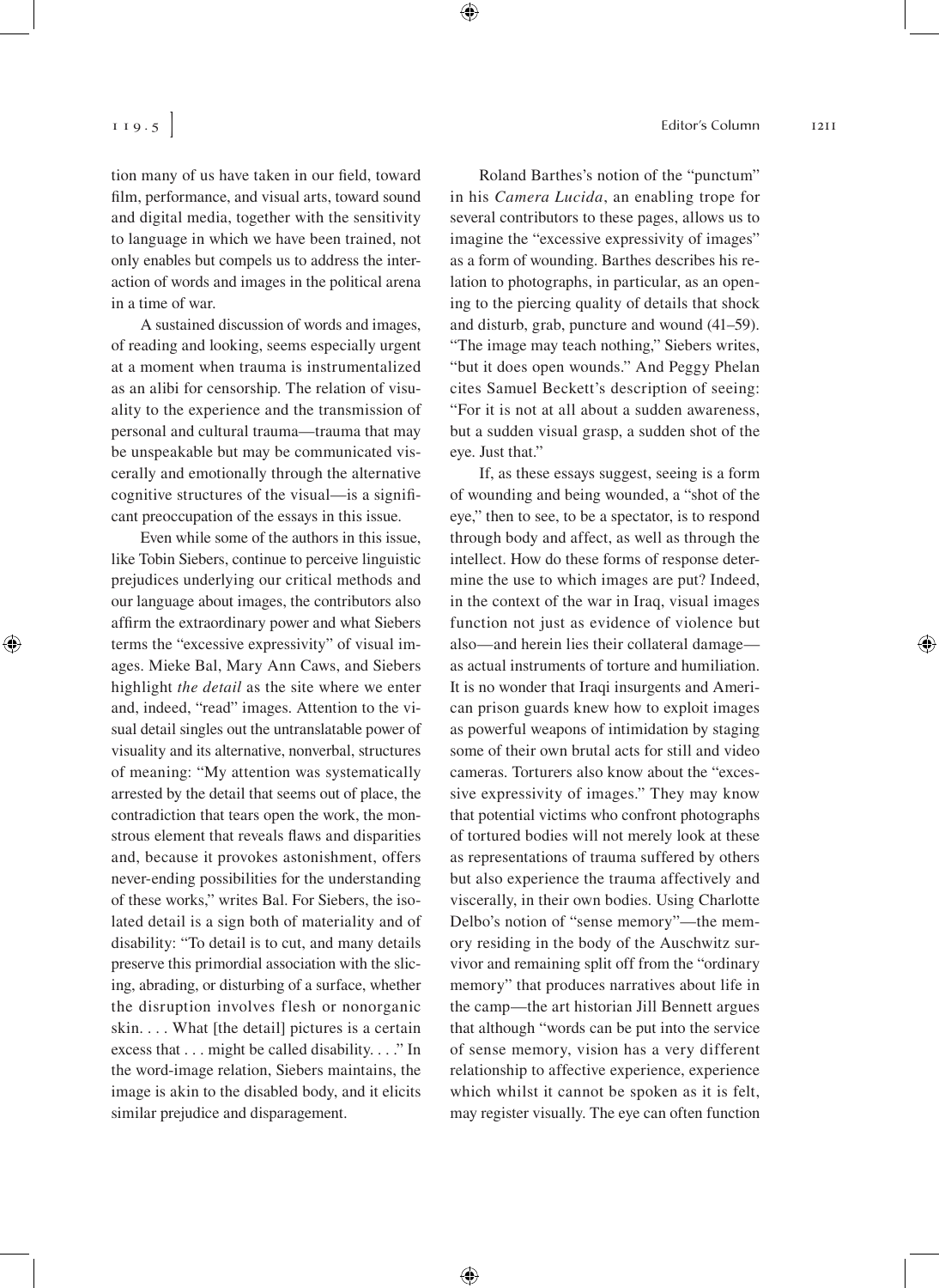tion many of us have taken in our field, toward film, performance, and visual arts, toward sound and digital media, together with the sensitivity to language in which we have been trained, not only enables but compels us to address the interaction of words and images in the political arena in a time of war.

A sustained discussion of words and images, of reading and looking, seems especially urgent at a moment when trauma is instrumentalized as an alibi for censorship. The relation of visuality to the experience and the transmission of personal and cultural trauma—trauma that may be unspeakable but may be communicated viscerally and emotionally through the alternative cognitive structures of the visual—is a significant preoccupation of the essays in this issue.

Even while some of the authors in this issue, like Tobin Siebers, continue to perceive linguistic prejudices underlying our critical methods and our language about images, the contributors also affirm the extraordinary power and what Siebers terms the "excessive expressivity" of visual images. Mieke Bal, Mary Ann Caws, and Siebers highlight *the detail* as the site where we enter and, indeed, "read" images. Attention to the visual detail singles out the untranslatable power of visuality and its alternative, nonverbal, structures of meaning: "My attention was systematically arrested by the detail that seems out of place, the contradiction that tears open the work, the monstrous element that reveals flaws and disparities and, because it provokes astonishment, offers never-ending possibilities for the understanding of these works," writes Bal. For Siebers, the isolated detail is a sign both of materiality and of disability: "To detail is to cut, and many details preserve this primordial association with the slicing, abrading, or disturbing of a surface, whether the disruption involves flesh or nonorganic skin. . . . What [the detail] pictures is a certain excess that . . . might be called disability. . . ." In the word-image relation, Siebers maintains, the image is akin to the disabled body, and it elicits similar prejudice and disparagement.

Roland Barthes's notion of the "punctum" in his *Camera Lucida*, an enabling trope for several contributors to these pages, allows us to imagine the "excessive expressivity of images" as a form of wounding. Barthes describes his relation to photographs, in particular, as an opening to the piercing quality of details that shock and disturb, grab, puncture and wound (41–59). "The image may teach nothing," Siebers writes, "but it does open wounds." And Peggy Phelan cites Samuel Beckett's description of seeing: "For it is not at all about a sudden awareness, but a sudden visual grasp, a sudden shot of the eye. Just that."

If, as these essays suggest, seeing is a form of wounding and being wounded, a "shot of the eye," then to see, to be a spectator, is to respond through body and affect, as well as through the intellect. How do these forms of response determine the use to which images are put? Indeed, in the context of the war in Iraq, visual images function not just as evidence of violence but also—and herein lies their collateral damage as actual instruments of torture and humiliation. It is no wonder that Iraqi insurgents and American prison guards knew how to exploit images as powerful weapons of intimidation by staging some of their own brutal acts for still and video cameras. Torturers also know about the "excessive expressivity of images." They may know that potential victims who confront photographs of tortured bodies will not merely look at these as representations of trauma suffered by others but also experience the trauma affectively and viscerally, in their own bodies. Using Charlotte Delbo's notion of "sense memory"—the memory residing in the body of the Auschwitz survivor and remaining split off from the "ordinary memory" that produces narratives about life in the camp—the art historian Jill Bennett argues that although "words can be put into the service of sense memory, vision has a very different relationship to affective experience, experience which whilst it cannot be spoken as it is felt, may register visually. The eye can often function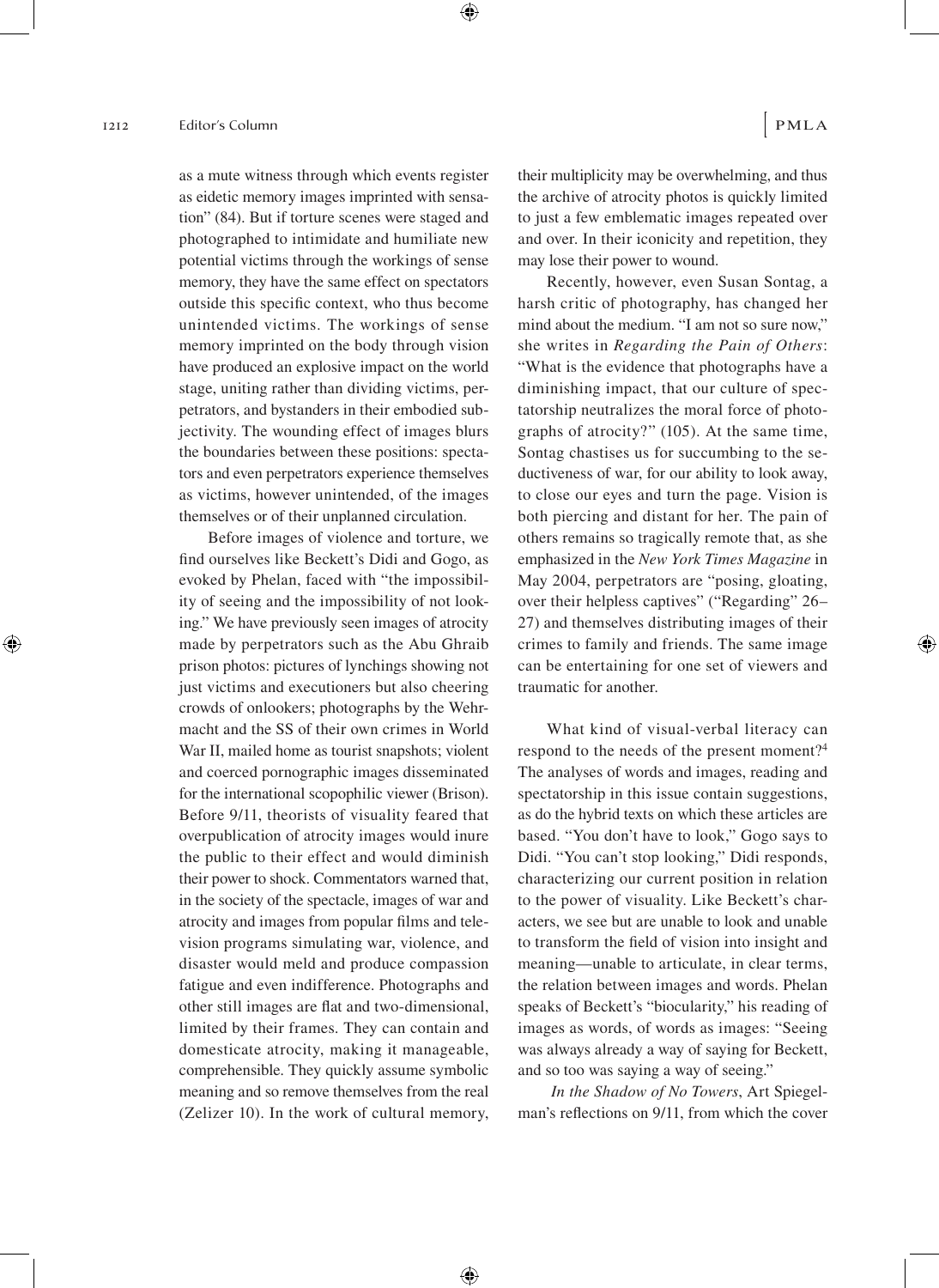as a mute witness through which events register as eidetic memory images imprinted with sensation" (84). But if torture scenes were staged and photographed to intimidate and humiliate new potential victims through the workings of sense memory, they have the same effect on spectators outside this specific context, who thus become unintended victims. The workings of sense memory imprinted on the body through vision have produced an explosive impact on the world stage, uniting rather than dividing victims, perpetrators, and bystanders in their embodied subjectivity. The wounding effect of images blurs the boundaries between these positions: spectators and even perpetrators experience themselves as victims, however unintended, of the images themselves or of their unplanned circulation.

Before images of violence and torture, we find ourselves like Beckett's Didi and Gogo, as evoked by Phelan, faced with "the impossibility of seeing and the impossibility of not looking." We have previously seen images of atrocity made by perpetrators such as the Abu Ghraib prison photos: pictures of lynchings showing not just victims and executioners but also cheering crowds of onlookers; photographs by the Wehrmacht and the SS of their own crimes in World War II, mailed home as tourist snapshots; violent and coerced pornographic images disseminated for the international scopophilic viewer (Brison). Before 9/11, theorists of visuality feared that overpublication of atrocity images would inure the public to their effect and would diminish their power to shock. Commentators warned that, in the society of the spectacle, images of war and atrocity and images from popular films and television programs simulating war, violence, and disaster would meld and produce compassion fatigue and even indifference. Photographs and other still images are flat and two-dimensional, limited by their frames. They can contain and domesticate atrocity, making it manageable, comprehensible. They quickly assume symbolic meaning and so remove themselves from the real (Zelizer 10). In the work of cultural memory, their multiplicity may be overwhelming, and thus the archive of atrocity photos is quickly limited to just a few emblematic images repeated over and over. In their iconicity and repetition, they may lose their power to wound.

Recently, however, even Susan Sontag, a harsh critic of photography, has changed her mind about the medium. "I am not so sure now," she writes in *Regarding the Pain of Others*: "What is the evidence that photographs have a diminishing impact, that our culture of spectatorship neutralizes the moral force of photographs of atrocity?" (105). At the same time, Sontag chastises us for succumbing to the seductiveness of war, for our ability to look away, to close our eyes and turn the page. Vision is both piercing and distant for her. The pain of others remains so tragically remote that, as she emphasized in the *New York Times Magazine* in May 2004, perpetrators are "posing, gloating, over their helpless captives" ("Regarding" 26– 27) and themselves distributing images of their crimes to family and friends. The same image can be entertaining for one set of viewers and traumatic for another.

What kind of visual-verbal literacy can respond to the needs of the present moment?4 The analyses of words and images, reading and spectatorship in this issue contain suggestions, as do the hybrid texts on which these articles are based. "You don't have to look," Gogo says to Didi. "You can't stop looking," Didi responds, characterizing our current position in relation to the power of visuality. Like Beckett's characters, we see but are unable to look and unable to transform the field of vision into insight and meaning—unable to articulate, in clear terms, the relation between images and words. Phelan speaks of Beckett's "biocularity," his reading of images as words, of words as images: "Seeing was always already a way of saying for Beckett, and so too was saying a way of seeing."

*In the Shadow of No Towers*, Art Spiegelman's reflections on 9/11, from which the cover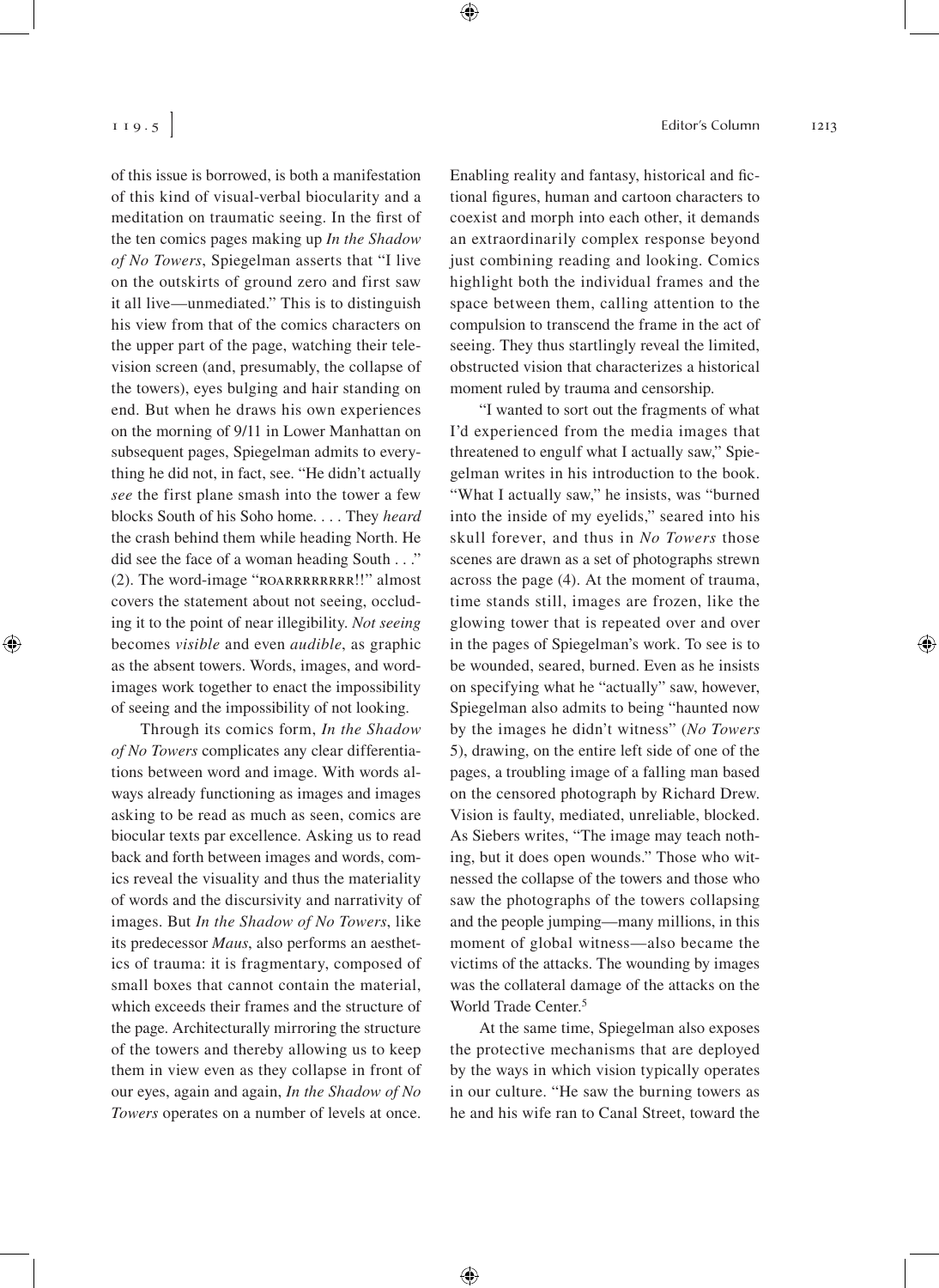of this issue is borrowed, is both a manifestation of this kind of visual-verbal biocularity and a meditation on traumatic seeing. In the first of the ten comics pages making up *In the Shadow of No Towers*, Spiegelman asserts that "I live on the outskirts of ground zero and first saw it all live—unmediated." This is to distinguish his view from that of the comics characters on the upper part of the page, watching their television screen (and, presumably, the collapse of the towers), eyes bulging and hair standing on end. But when he draws his own experiences on the morning of 9/11 in Lower Manhattan on subsequent pages, Spiegelman admits to everything he did not, in fact, see. "He didn't actually *see* the first plane smash into the tower a few blocks South of his Soho home. . . . They *heard*  the crash behind them while heading North. He did see the face of a woman heading South . . ." (2). The word-image "ROARRRRRRRR!!" almost covers the statement about not seeing, occluding it to the point of near illegibility. *Not seeing* becomes *visible* and even *audible*, as graphic as the absent towers. Words, images, and wordimages work together to enact the impossibility of seeing and the impossibility of not looking.

Through its comics form, *In the Shadow of No Towers* complicates any clear differentiations between word and image. With words always already functioning as images and images asking to be read as much as seen, comics are biocular texts par excellence. Asking us to read back and forth between images and words, comics reveal the visuality and thus the materiality of words and the discursivity and narrativity of images. But *In the Shadow of No Towers*, like its predecessor *Maus*, also performs an aesthetics of trauma: it is fragmentary, composed of small boxes that cannot contain the material, which exceeds their frames and the structure of the page. Architecturally mirroring the structure of the towers and thereby allowing us to keep them in view even as they collapse in front of our eyes, again and again, *In the Shadow of No Towers* operates on a number of levels at once. Enabling reality and fantasy, historical and fictional figures, human and cartoon characters to coexist and morph into each other, it demands an extraordinarily complex response beyond just combining reading and looking. Comics highlight both the individual frames and the space between them, calling attention to the compulsion to transcend the frame in the act of seeing. They thus startlingly reveal the limited, obstructed vision that characterizes a historical moment ruled by trauma and censorship.

"I wanted to sort out the fragments of what I'd experienced from the media images that threatened to engulf what I actually saw," Spiegelman writes in his introduction to the book. "What I actually saw," he insists, was "burned into the inside of my eyelids," seared into his skull forever, and thus in *No Towers* those scenes are drawn as a set of photographs strewn across the page (4). At the moment of trauma, time stands still, images are frozen, like the glowing tower that is repeated over and over in the pages of Spiegelman's work. To see is to be wounded, seared, burned. Even as he insists on specifying what he "actually" saw, however, Spiegelman also admits to being "haunted now by the images he didn't witness" (*No Towers* 5), drawing, on the entire left side of one of the pages, a troubling image of a falling man based on the censored photograph by Richard Drew. Vision is faulty, mediated, unreliable, blocked. As Siebers writes, "The image may teach nothing, but it does open wounds." Those who witnessed the collapse of the towers and those who saw the photographs of the towers collapsing and the people jumping—many millions, in this moment of global witness—also became the victims of the attacks. The wounding by images was the collateral damage of the attacks on the World Trade Center.<sup>5</sup>

At the same time, Spiegelman also exposes the protective mechanisms that are deployed by the ways in which vision typically operates in our culture. "He saw the burning towers as he and his wife ran to Canal Street, toward the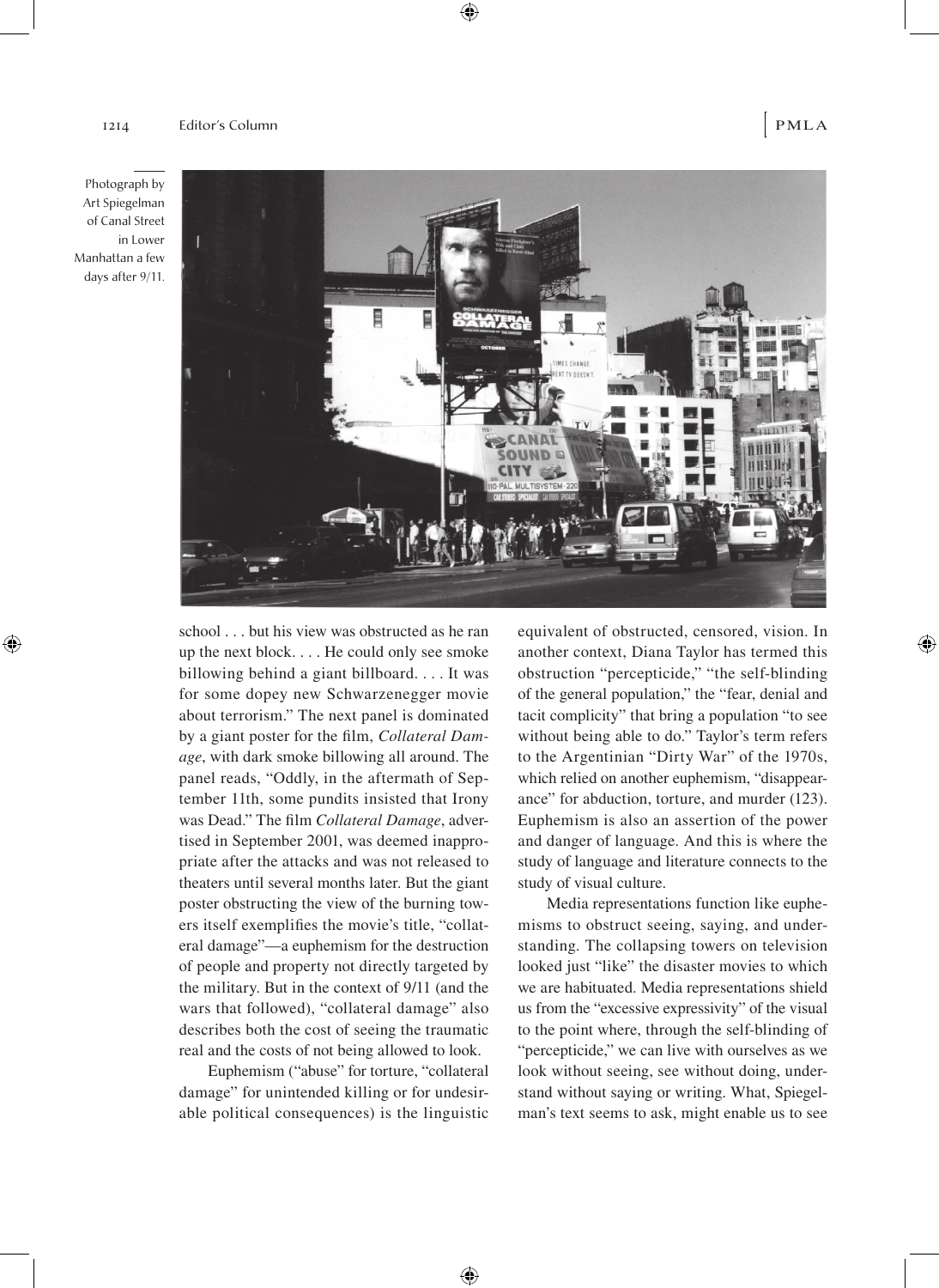



school . . . but his view was obstructed as he ran up the next block. . . . He could only see smoke billowing behind a giant billboard. . . . It was for some dopey new Schwarzenegger movie about terrorism." The next panel is dominated by a giant poster for the film, *Collateral Damage*, with dark smoke billowing all around. The panel reads, "Oddly, in the aftermath of September 11th, some pundits insisted that Irony was Dead." The film *Collateral Damage*, advertised in September 2001, was deemed inappropriate after the attacks and was not released to theaters until several months later. But the giant poster obstructing the view of the burning towers itself exemplifies the movie's title, "collateral damage"—a euphemism for the destruction of people and property not directly targeted by the military. But in the context of 9/11 (and the wars that followed), "collateral damage" also describes both the cost of seeing the traumatic real and the costs of not being allowed to look.

Euphemism ("abuse" for torture, "collateral damage" for unintended killing or for undesirable political consequences) is the linguistic

equivalent of obstructed, censored, vision. In another context, Diana Taylor has termed this obstruction "percepticide," "the self-blinding of the general population," the "fear, denial and tacit complicity" that bring a population "to see without being able to do." Taylor's term refers to the Argentinian "Dirty War" of the 1970s, which relied on another euphemism, "disappearance" for abduction, torture, and murder (123). Euphemism is also an assertion of the power and danger of language. And this is where the study of language and literature connects to the study of visual culture.

Media representations function like euphemisms to obstruct seeing, saying, and understanding. The collapsing towers on television looked just "like" the disaster movies to which we are habituated. Media representations shield us from the "excessive expressivity" of the visual to the point where, through the self-blinding of "percepticide," we can live with ourselves as we look without seeing, see without doing, understand without saying or writing. What, Spiegelman's text seems to ask, might enable us to see